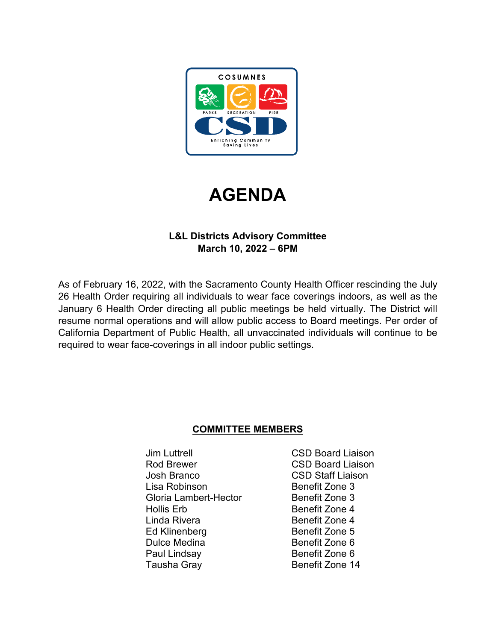



# **L&L Districts Advisory Committee March 10, 2022 – 6PM**

As of February 16, 2022, with the Sacramento County Health Officer rescinding the July 26 Health Order requiring all individuals to wear face coverings indoors, as well as the January 6 Health Order directing all public meetings be held virtually. The District will resume normal operations and will allow public access to Board meetings. Per order of California Department of Public Health, all unvaccinated individuals will continue to be required to wear face-coverings in all indoor public settings.

# **COMMITTEE MEMBERS**

Jim Luttrell CSD Board Liaison Rod Brewer **CSD** Board Liaison Josh Branco CSD Staff Liaison Lisa Robinson Benefit Zone 3 Gloria Lambert-Hector Benefit Zone 3 Hollis Erb Benefit Zone 4 Linda Rivera **Benefit Zone 4** Ed Klinenberg Benefit Zone 5 Dulce Medina Benefit Zone 6 Paul Lindsay Benefit Zone 6 Tausha Gray **Benefit Zone 14**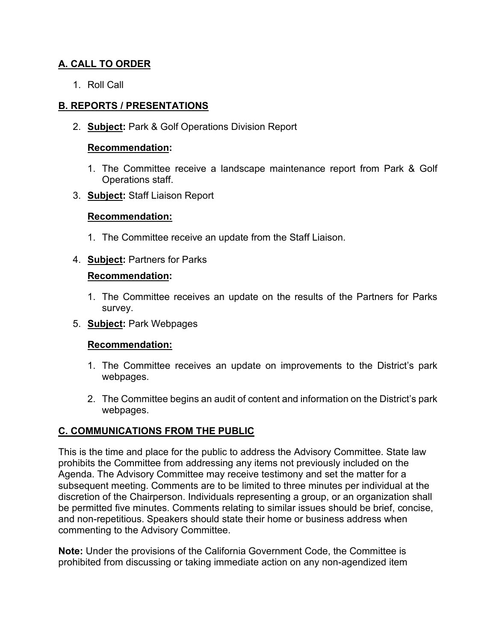# **A. CALL TO ORDER**

1. Roll Call

# **B. REPORTS / PRESENTATIONS**

2. **Subject:** Park & Golf Operations Division Report

#### **Recommendation:**

- 1. The Committee receive a landscape maintenance report from Park & Golf Operations staff.
- 3. **Subject:** Staff Liaison Report

### **Recommendation:**

- 1. The Committee receive an update from the Staff Liaison.
- 4. **Subject:** Partners for Parks

### **Recommendation:**

- 1. The Committee receives an update on the results of the Partners for Parks survey.
- 5. **Subject:** Park Webpages

### **Recommendation:**

- 1. The Committee receives an update on improvements to the District's park webpages.
- 2. The Committee begins an audit of content and information on the District's park webpages.

# **C. COMMUNICATIONS FROM THE PUBLIC**

This is the time and place for the public to address the Advisory Committee. State law prohibits the Committee from addressing any items not previously included on the Agenda. The Advisory Committee may receive testimony and set the matter for a subsequent meeting. Comments are to be limited to three minutes per individual at the discretion of the Chairperson. Individuals representing a group, or an organization shall be permitted five minutes. Comments relating to similar issues should be brief, concise, and non-repetitious. Speakers should state their home or business address when commenting to the Advisory Committee.

**Note:** Under the provisions of the California Government Code, the Committee is prohibited from discussing or taking immediate action on any non-agendized item